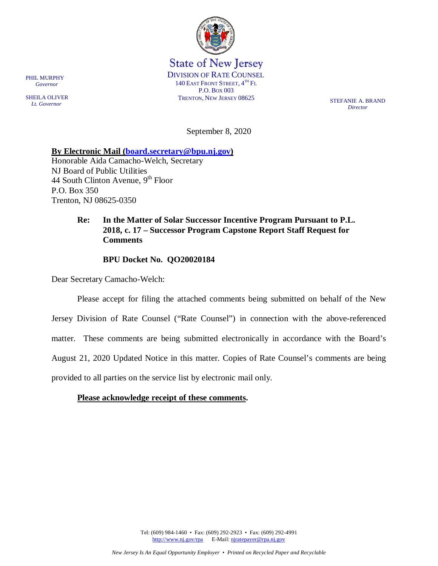

State of New Jersey DIVISION OF RATE COUNSEL 140 EAST FRONT STREET,  $4^{TH}$  Fl P.O. BOX 003 TRENTON, NEW JERSEY 08625 STEFANIE A. BRAND

*Director*

September 8, 2020

**By Electronic Mail [\(board.secretary@bpu.nj.gov\)](mailto:board.secretary@bpu.nj.gov)** 

Honorable Aida Camacho-Welch, Secretary NJ Board of Public Utilities 44 South Clinton Avenue,  $9<sup>th</sup>$  Floor P.O. Box 350 Trenton, NJ 08625-0350

# **Re: In the Matter of Solar Successor Incentive Program Pursuant to P.L. 2018, c. 17 – Successor Program Capstone Report Staff Request for Comments**

## **BPU Docket No. QO20020184**

Dear Secretary Camacho-Welch:

Please accept for filing the attached comments being submitted on behalf of the New Jersey Division of Rate Counsel ("Rate Counsel") in connection with the above-referenced matter. These comments are being submitted electronically in accordance with the Board's August 21, 2020 Updated Notice in this matter. Copies of Rate Counsel's comments are being provided to all parties on the service list by electronic mail only.

## **Please acknowledge receipt of these comments.**

Tel: (609) 984-1460 • Fax: (609) 292-2923 • Fax: (609) 292-4991 [http://www.nj.gov/rpa](http://www.state.nj.us/publicadvocate/utility) E-Mail: [njratepayer@rpa.nj.gov](mailto:njratepayer@rpa.nj.gov)

PHIL MURPHY  *Governor*

SHEILA OLIVER  *Lt. Governor*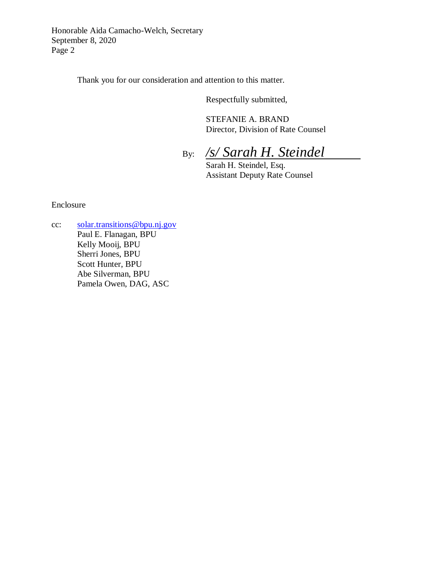Honorable Aida Camacho-Welch, Secretary September 8, 2020 Page 2

Thank you for our consideration and attention to this matter.

Respectfully submitted,

STEFANIE A. BRAND Director, Division of Rate Counsel

By: */s/ Sarah H. Steindel*

Sarah H. Steindel, Esq. Assistant Deputy Rate Counsel

Enclosure

cc: [solar.transitions@bpu.nj.gov](mailto:solar.transitions@bpu.nj.gov) Paul E. Flanagan, BPU Kelly Mooij, BPU Sherri Jones, BPU Scott Hunter, BPU Abe Silverman, BPU Pamela Owen, DAG, ASC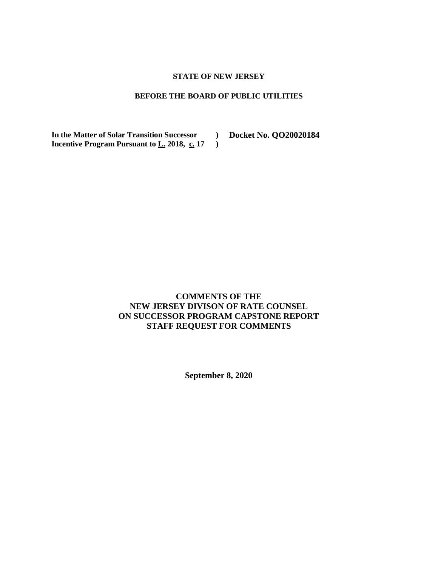### **STATE OF NEW JERSEY**

### **BEFORE THE BOARD OF PUBLIC UTILITIES**

**)**

**In the Matter of Solar Transition Successor ) Docket No. QO20020184Incentive Program Pursuant to L. 2018, c. 17** 

# **COMMENTS OF THE NEW JERSEY DIVISON OF RATE COUNSEL ON SUCCESSOR PROGRAM CAPSTONE REPORT STAFF REQUEST FOR COMMENTS**

**September 8, 2020**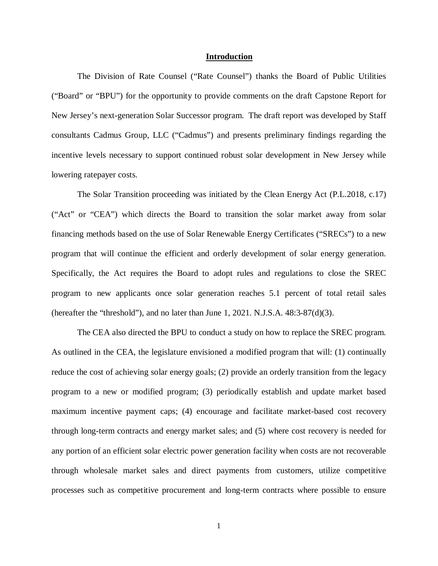#### **Introduction**

The Division of Rate Counsel ("Rate Counsel") thanks the Board of Public Utilities ("Board" or "BPU") for the opportunity to provide comments on the draft Capstone Report for New Jersey's next-generation Solar Successor program. The draft report was developed by Staff consultants Cadmus Group, LLC ("Cadmus") and presents preliminary findings regarding the incentive levels necessary to support continued robust solar development in New Jersey while lowering ratepayer costs.

The Solar Transition proceeding was initiated by the Clean Energy Act (P.L.2018, c.17) ("Act" or "CEA") which directs the Board to transition the solar market away from solar financing methods based on the use of Solar Renewable Energy Certificates ("SRECs") to a new program that will continue the efficient and orderly development of solar energy generation. Specifically, the Act requires the Board to adopt rules and regulations to close the SREC program to new applicants once solar generation reaches 5.1 percent of total retail sales (hereafter the "threshold"), and no later than June 1, 2021. N.J.S.A.  $48:3-87(d)(3)$ .

The CEA also directed the BPU to conduct a study on how to replace the SREC program. As outlined in the CEA, the legislature envisioned a modified program that will: (1) continually reduce the cost of achieving solar energy goals; (2) provide an orderly transition from the legacy program to a new or modified program; (3) periodically establish and update market based maximum incentive payment caps; (4) encourage and facilitate market-based cost recovery through long-term contracts and energy market sales; and (5) where cost recovery is needed for any portion of an efficient solar electric power generation facility when costs are not recoverable through wholesale market sales and direct payments from customers, utilize competitive processes such as competitive procurement and long-term contracts where possible to ensure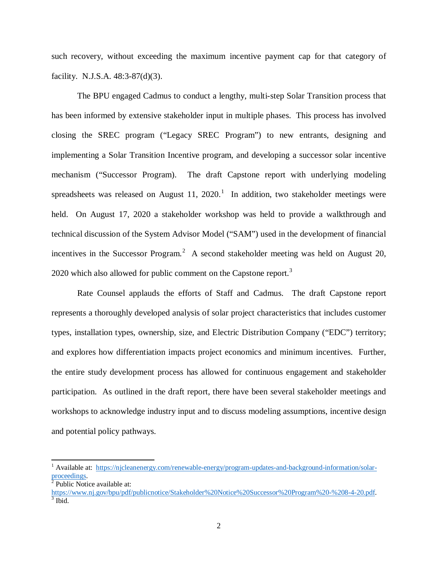such recovery, without exceeding the maximum incentive payment cap for that category of facility. N.J.S.A. 48:3-87(d)(3).

The BPU engaged Cadmus to conduct a lengthy, multi-step Solar Transition process that has been informed by extensive stakeholder input in multiple phases. This process has involved closing the SREC program ("Legacy SREC Program") to new entrants, designing and implementing a Solar Transition Incentive program, and developing a successor solar incentive mechanism ("Successor Program). The draft Capstone report with underlying modeling spreadsheets was released on August [1](#page-4-0)1, 2020.<sup>1</sup> In addition, two stakeholder meetings were held. On August 17, 2020 a stakeholder workshop was held to provide a walkthrough and technical discussion of the System Advisor Model ("SAM") used in the development of financial incentives in the Successor Program.<sup>[2](#page-4-1)</sup> A second stakeholder meeting was held on August 20, 2020 which also allowed for public comment on the Capstone report.<sup>[3](#page-4-2)</sup>

Rate Counsel applauds the efforts of Staff and Cadmus. The draft Capstone report represents a thoroughly developed analysis of solar project characteristics that includes customer types, installation types, ownership, size, and Electric Distribution Company ("EDC") territory; and explores how differentiation impacts project economics and minimum incentives. Further, the entire study development process has allowed for continuous engagement and stakeholder participation. As outlined in the draft report, there have been several stakeholder meetings and workshops to acknowledge industry input and to discuss modeling assumptions, incentive design and potential policy pathways.

<span id="page-4-1"></span> $\sqrt[2]{\text{Public Notice available at:}}$ 

<span id="page-4-0"></span><sup>&</sup>lt;sup>1</sup> Available at: https://njcleanenergy.com/renewable-energy/program-updates-and-background-information/solar-proceedings.

<span id="page-4-2"></span>https://www.nj.gov/bpu/pdf/publicnotice/Stakeholder%20Notice%20Successor%20Program%20-%208-4-20.pdf.<br><sup>3</sup> Ibid.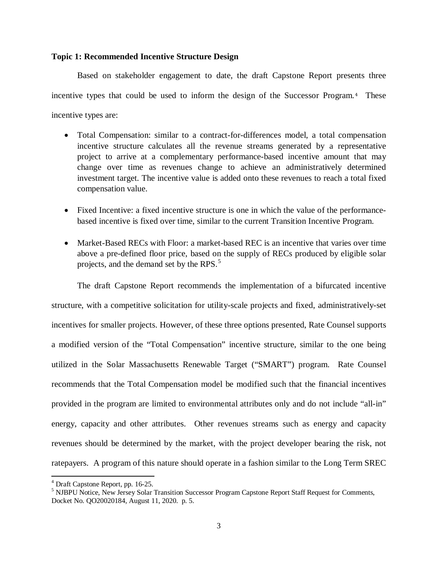### **Topic 1: Recommended Incentive Structure Design**

Based on stakeholder engagement to date, the draft Capstone Report presents three incentive types that could be used to inform the design of the Successor Program.[4](#page-5-0) These incentive types are:

- Total Compensation: similar to a contract-for-differences model, a total compensation incentive structure calculates all the revenue streams generated by a representative project to arrive at a complementary performance-based incentive amount that may change over time as revenues change to achieve an administratively determined investment target. The incentive value is added onto these revenues to reach a total fixed compensation value.
- Fixed Incentive: a fixed incentive structure is one in which the value of the performancebased incentive is fixed over time, similar to the current Transition Incentive Program.
- Market-Based RECs with Floor: a market-based REC is an incentive that varies over time above a pre-defined floor price, based on the supply of RECs produced by eligible solar projects, and the demand set by the RPS.<sup>[5](#page-5-1)</sup>

The draft Capstone Report recommends the implementation of a bifurcated incentive structure, with a competitive solicitation for utility-scale projects and fixed, administratively-set incentives for smaller projects. However, of these three options presented, Rate Counsel supports a modified version of the "Total Compensation" incentive structure, similar to the one being utilized in the Solar Massachusetts Renewable Target ("SMART") program. Rate Counsel recommends that the Total Compensation model be modified such that the financial incentives provided in the program are limited to environmental attributes only and do not include "all-in" energy, capacity and other attributes. Other revenues streams such as energy and capacity revenues should be determined by the market, with the project developer bearing the risk, not ratepayers. A program of this nature should operate in a fashion similar to the Long Term SREC

<span id="page-5-1"></span><span id="page-5-0"></span> $^4$  Draft Capstone Report, pp. 16-25.<br><sup>5</sup> NJBPU Notice, New Jersey Solar Transition Successor Program Capstone Report Staff Request for Comments, Docket No. QO20020184, August 11, 2020. p. 5.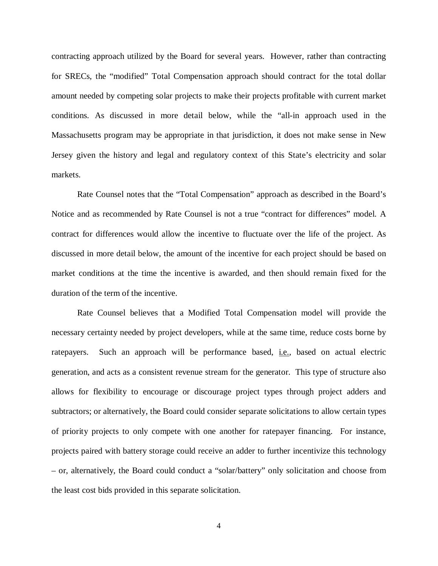contracting approach utilized by the Board for several years. However, rather than contracting for SRECs, the "modified" Total Compensation approach should contract for the total dollar amount needed by competing solar projects to make their projects profitable with current market conditions. As discussed in more detail below, while the "all-in approach used in the Massachusetts program may be appropriate in that jurisdiction, it does not make sense in New Jersey given the history and legal and regulatory context of this State's electricity and solar markets.

Rate Counsel notes that the "Total Compensation" approach as described in the Board's Notice and as recommended by Rate Counsel is not a true "contract for differences" model. A contract for differences would allow the incentive to fluctuate over the life of the project. As discussed in more detail below, the amount of the incentive for each project should be based on market conditions at the time the incentive is awarded, and then should remain fixed for the duration of the term of the incentive.

Rate Counsel believes that a Modified Total Compensation model will provide the necessary certainty needed by project developers, while at the same time, reduce costs borne by ratepayers. Such an approach will be performance based, i.e., based on actual electric generation, and acts as a consistent revenue stream for the generator. This type of structure also allows for flexibility to encourage or discourage project types through project adders and subtractors; or alternatively, the Board could consider separate solicitations to allow certain types of priority projects to only compete with one another for ratepayer financing. For instance, projects paired with battery storage could receive an adder to further incentivize this technology – or, alternatively, the Board could conduct a "solar/battery" only solicitation and choose from the least cost bids provided in this separate solicitation.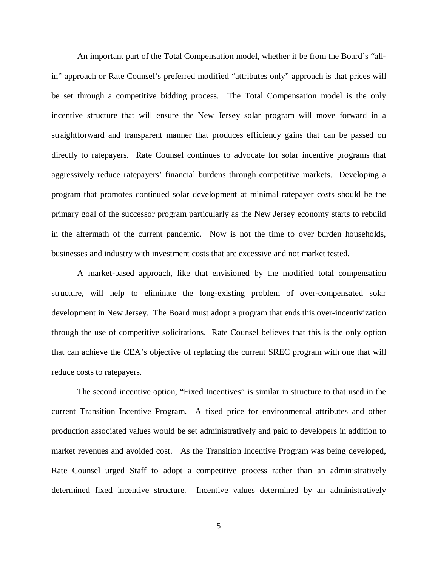An important part of the Total Compensation model, whether it be from the Board's "allin" approach or Rate Counsel's preferred modified "attributes only" approach is that prices will be set through a competitive bidding process. The Total Compensation model is the only incentive structure that will ensure the New Jersey solar program will move forward in a straightforward and transparent manner that produces efficiency gains that can be passed on directly to ratepayers. Rate Counsel continues to advocate for solar incentive programs that aggressively reduce ratepayers' financial burdens through competitive markets. Developing a program that promotes continued solar development at minimal ratepayer costs should be the primary goal of the successor program particularly as the New Jersey economy starts to rebuild in the aftermath of the current pandemic. Now is not the time to over burden households, businesses and industry with investment costs that are excessive and not market tested.

A market-based approach, like that envisioned by the modified total compensation structure, will help to eliminate the long-existing problem of over-compensated solar development in New Jersey. The Board must adopt a program that ends this over-incentivization through the use of competitive solicitations. Rate Counsel believes that this is the only option that can achieve the CEA's objective of replacing the current SREC program with one that will reduce costs to ratepayers.

The second incentive option, "Fixed Incentives" is similar in structure to that used in the current Transition Incentive Program. A fixed price for environmental attributes and other production associated values would be set administratively and paid to developers in addition to market revenues and avoided cost. As the Transition Incentive Program was being developed, Rate Counsel urged Staff to adopt a competitive process rather than an administratively determined fixed incentive structure. Incentive values determined by an administratively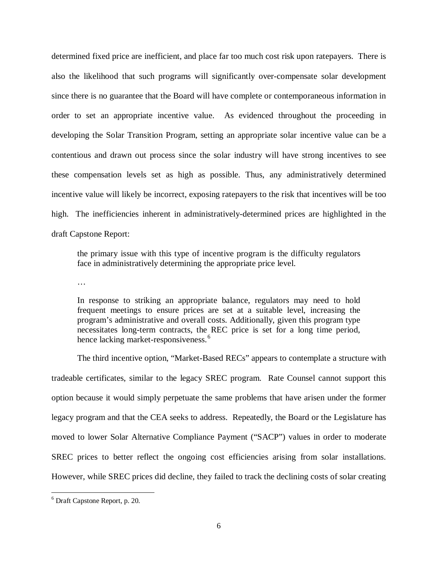determined fixed price are inefficient, and place far too much cost risk upon ratepayers. There is also the likelihood that such programs will significantly over-compensate solar development since there is no guarantee that the Board will have complete or contemporaneous information in order to set an appropriate incentive value. As evidenced throughout the proceeding in developing the Solar Transition Program, setting an appropriate solar incentive value can be a contentious and drawn out process since the solar industry will have strong incentives to see these compensation levels set as high as possible. Thus, any administratively determined incentive value will likely be incorrect, exposing ratepayers to the risk that incentives will be too high. The inefficiencies inherent in administratively-determined prices are highlighted in the draft Capstone Report:

the primary issue with this type of incentive program is the difficulty regulators face in administratively determining the appropriate price level.

…

In response to striking an appropriate balance, regulators may need to hold frequent meetings to ensure prices are set at a suitable level, increasing the program's administrative and overall costs. Additionally, given this program type necessitates long-term contracts, the REC price is set for a long time period, hence lacking market-responsiveness.<sup>[6](#page-8-0)</sup>

The third incentive option, "Market-Based RECs" appears to contemplate a structure with tradeable certificates, similar to the legacy SREC program. Rate Counsel cannot support this option because it would simply perpetuate the same problems that have arisen under the former legacy program and that the CEA seeks to address. Repeatedly, the Board or the Legislature has moved to lower Solar Alternative Compliance Payment ("SACP") values in order to moderate SREC prices to better reflect the ongoing cost efficiencies arising from solar installations. However, while SREC prices did decline, they failed to track the declining costs of solar creating

<span id="page-8-0"></span><sup>6</sup> Draft Capstone Report, p. 20.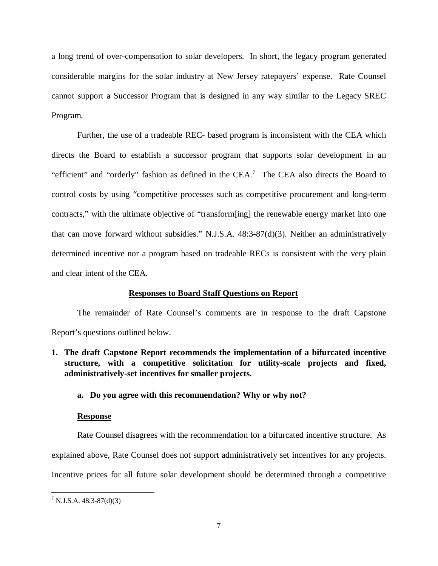a long trend of over-compensation to solar developers. In short, the legacy program generated considerable margins for the solar industry at New Jersey ratepayers' expense. Rate Counsel cannot support a Successor Program that is designed in any way similar to the Legacy SREC Program.

Further, the use of a tradeable REC- based program is inconsistent with the CEA which directs the Board to establish a successor program that supports solar development in an "efficient" and "orderly" fashion as defined in the CEA.<sup>[7](#page-9-0)</sup> The CEA also directs the Board to control costs by using "competitive processes such as competitive procurement and long-term contracts," with the ultimate objective of "transform[ing] the renewable energy market into one that can move forward without subsidies." N.J.S.A. 48:3-87(d)(3). Neither an administratively determined incentive nor a program based on tradeable RECs is consistent with the very plain and clear intent of the CEA.

### **Responses to Board Staff Questions on Report**

The remainder of Rate Counsel's comments are in response to the draft Capstone Report's questions outlined below.

**1. The draft Capstone Report recommends the implementation of a bifurcated incentive structure, with a competitive solicitation for utility-scale projects and fixed, administratively-set incentives for smaller projects.**

## **a. Do you agree with this recommendation? Why or why not?**

### **Response**

Rate Counsel disagrees with the recommendation for a bifurcated incentive structure. As explained above, Rate Counsel does not support administratively set incentives for any projects. Incentive prices for all future solar development should be determined through a competitive

<span id="page-9-0"></span> $7 \underline{\text{N.J.S.A.}} 48:3-87(\text{d})(3)$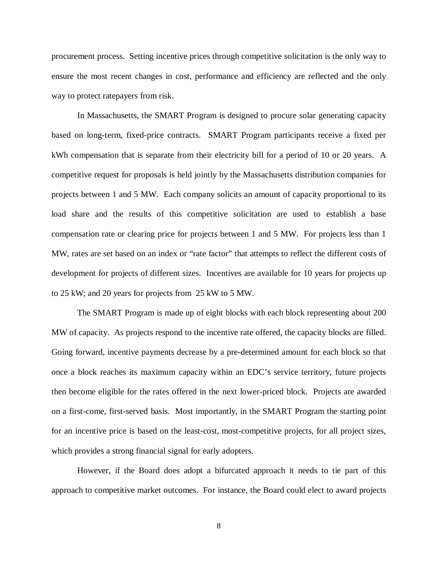procurement process. Setting incentive prices through competitive solicitation is the only way to ensure the most recent changes in cost, performance and efficiency are reflected and the only way to protect ratepayers from risk.

In Massachusetts, the SMART Program is designed to procure solar generating capacity based on long-term, fixed-price contracts. SMART Program participants receive a fixed per kWh compensation that is separate from their electricity bill for a period of 10 or 20 years. A competitive request for proposals is held jointly by the Massachusetts distribution companies for projects between 1 and 5 MW. Each company solicits an amount of capacity proportional to its load share and the results of this competitive solicitation are used to establish a base compensation rate or clearing price for projects between 1 and 5 MW. For projects less than 1 MW, rates are set based on an index or "rate factor" that attempts to reflect the different costs of development for projects of different sizes. Incentives are available for 10 years for projects up to 25 kW; and 20 years for projects from 25 kW to 5 MW.

The SMART Program is made up of eight blocks with each block representing about 200 MW of capacity. As projects respond to the incentive rate offered, the capacity blocks are filled. Going forward, incentive payments decrease by a pre-determined amount for each block so that once a block reaches its maximum capacity within an EDC's service territory, future projects then become eligible for the rates offered in the next lower-priced block. Projects are awarded on a first-come, first-served basis. Most importantly, in the SMART Program the starting point for an incentive price is based on the least-cost, most-competitive projects, for all project sizes, which provides a strong financial signal for early adopters.

However, if the Board does adopt a bifurcated approach it needs to tie part of this approach to competitive market outcomes. For instance, the Board could elect to award projects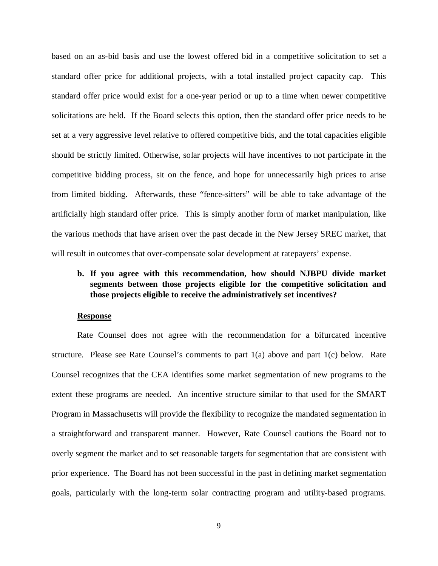based on an as-bid basis and use the lowest offered bid in a competitive solicitation to set a standard offer price for additional projects, with a total installed project capacity cap. This standard offer price would exist for a one-year period or up to a time when newer competitive solicitations are held. If the Board selects this option, then the standard offer price needs to be set at a very aggressive level relative to offered competitive bids, and the total capacities eligible should be strictly limited. Otherwise, solar projects will have incentives to not participate in the competitive bidding process, sit on the fence, and hope for unnecessarily high prices to arise from limited bidding. Afterwards, these "fence-sitters" will be able to take advantage of the artificially high standard offer price. This is simply another form of market manipulation, like the various methods that have arisen over the past decade in the New Jersey SREC market, that will result in outcomes that over-compensate solar development at ratepayers' expense.

# **b. If you agree with this recommendation, how should NJBPU divide market segments between those projects eligible for the competitive solicitation and those projects eligible to receive the administratively set incentives?**

#### **Response**

Rate Counsel does not agree with the recommendation for a bifurcated incentive structure. Please see Rate Counsel's comments to part  $1(a)$  above and part  $1(c)$  below. Rate Counsel recognizes that the CEA identifies some market segmentation of new programs to the extent these programs are needed. An incentive structure similar to that used for the SMART Program in Massachusetts will provide the flexibility to recognize the mandated segmentation in a straightforward and transparent manner. However, Rate Counsel cautions the Board not to overly segment the market and to set reasonable targets for segmentation that are consistent with prior experience. The Board has not been successful in the past in defining market segmentation goals, particularly with the long-term solar contracting program and utility-based programs.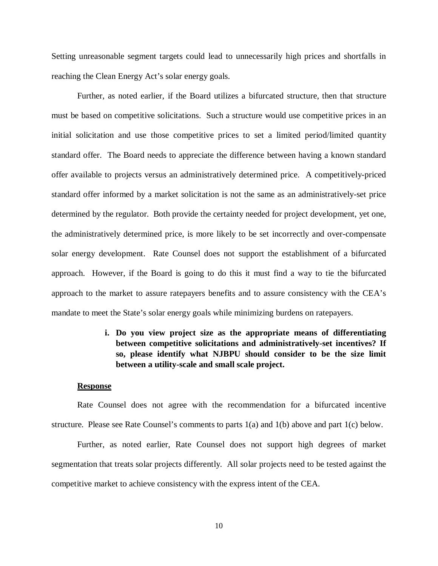Setting unreasonable segment targets could lead to unnecessarily high prices and shortfalls in reaching the Clean Energy Act's solar energy goals.

Further, as noted earlier, if the Board utilizes a bifurcated structure, then that structure must be based on competitive solicitations. Such a structure would use competitive prices in an initial solicitation and use those competitive prices to set a limited period/limited quantity standard offer. The Board needs to appreciate the difference between having a known standard offer available to projects versus an administratively determined price. A competitively-priced standard offer informed by a market solicitation is not the same as an administratively-set price determined by the regulator. Both provide the certainty needed for project development, yet one, the administratively determined price, is more likely to be set incorrectly and over-compensate solar energy development. Rate Counsel does not support the establishment of a bifurcated approach. However, if the Board is going to do this it must find a way to tie the bifurcated approach to the market to assure ratepayers benefits and to assure consistency with the CEA's mandate to meet the State's solar energy goals while minimizing burdens on ratepayers.

# **i. Do you view project size as the appropriate means of differentiating between competitive solicitations and administratively-set incentives? If so, please identify what NJBPU should consider to be the size limit between a utility-scale and small scale project.**

#### **Response**

Rate Counsel does not agree with the recommendation for a bifurcated incentive structure. Please see Rate Counsel's comments to parts 1(a) and 1(b) above and part 1(c) below.

Further, as noted earlier, Rate Counsel does not support high degrees of market segmentation that treats solar projects differently. All solar projects need to be tested against the competitive market to achieve consistency with the express intent of the CEA.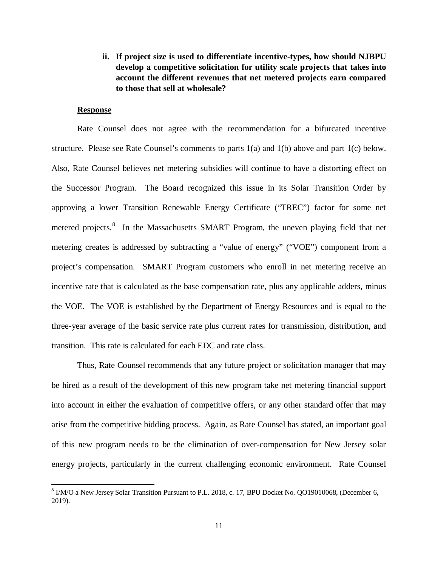**ii. If project size is used to differentiate incentive-types, how should NJBPU develop a competitive solicitation for utility scale projects that takes into account the different revenues that net metered projects earn compared to those that sell at wholesale?**

## **Response**

Rate Counsel does not agree with the recommendation for a bifurcated incentive structure. Please see Rate Counsel's comments to parts 1(a) and 1(b) above and part 1(c) below. Also, Rate Counsel believes net metering subsidies will continue to have a distorting effect on the Successor Program. The Board recognized this issue in its Solar Transition Order by approving a lower Transition Renewable Energy Certificate ("TREC") factor for some net metered projects.<sup>[8](#page-13-0)</sup> In the Massachusetts SMART Program, the uneven playing field that net metering creates is addressed by subtracting a "value of energy" ("VOE") component from a project's compensation. SMART Program customers who enroll in net metering receive an incentive rate that is calculated as the base compensation rate, plus any applicable adders, minus the VOE. The VOE is established by the Department of Energy Resources and is equal to the three-year average of the basic service rate plus current rates for transmission, distribution, and transition. This rate is calculated for each EDC and rate class.

Thus, Rate Counsel recommends that any future project or solicitation manager that may be hired as a result of the development of this new program take net metering financial support into account in either the evaluation of competitive offers, or any other standard offer that may arise from the competitive bidding process. Again, as Rate Counsel has stated, an important goal of this new program needs to be the elimination of over-compensation for New Jersey solar energy projects, particularly in the current challenging economic environment. Rate Counsel

<span id="page-13-0"></span><sup>&</sup>lt;sup>8</sup> I/M/O a New Jersey Solar Transition Pursuant to P.L. 2018, c. 17, BPU Docket No. QO19010068, (December 6, 2019).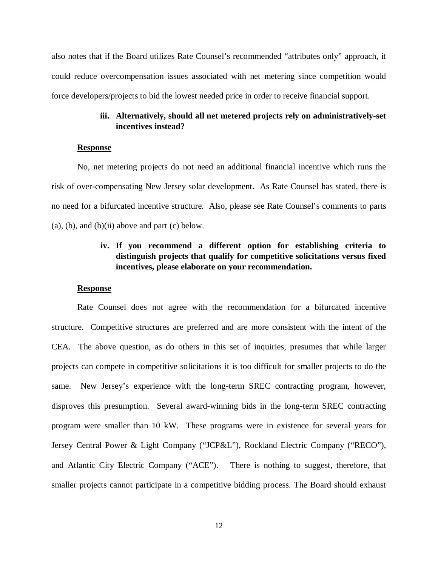also notes that if the Board utilizes Rate Counsel's recommended "attributes only" approach, it could reduce overcompensation issues associated with net metering since competition would force developers/projects to bid the lowest needed price in order to receive financial support.

## **iii. Alternatively, should all net metered projects rely on administratively-set incentives instead?**

#### **Response**

No, net metering projects do not need an additional financial incentive which runs the risk of over-compensating New Jersey solar development. As Rate Counsel has stated, there is no need for a bifurcated incentive structure. Also, please see Rate Counsel's comments to parts  $(a)$ ,  $(b)$ , and  $(b)$  $(ii)$  above and part  $(c)$  below.

# **iv. If you recommend a different option for establishing criteria to distinguish projects that qualify for competitive solicitations versus fixed incentives, please elaborate on your recommendation.**

#### **Response**

Rate Counsel does not agree with the recommendation for a bifurcated incentive structure. Competitive structures are preferred and are more consistent with the intent of the CEA. The above question, as do others in this set of inquiries, presumes that while larger projects can compete in competitive solicitations it is too difficult for smaller projects to do the same. New Jersey's experience with the long-term SREC contracting program, however, disproves this presumption. Several award-winning bids in the long-term SREC contracting program were smaller than 10 kW. These programs were in existence for several years for Jersey Central Power & Light Company ("JCP&L"), Rockland Electric Company ("RECO"), and Atlantic City Electric Company ("ACE"). There is nothing to suggest, therefore, that smaller projects cannot participate in a competitive bidding process. The Board should exhaust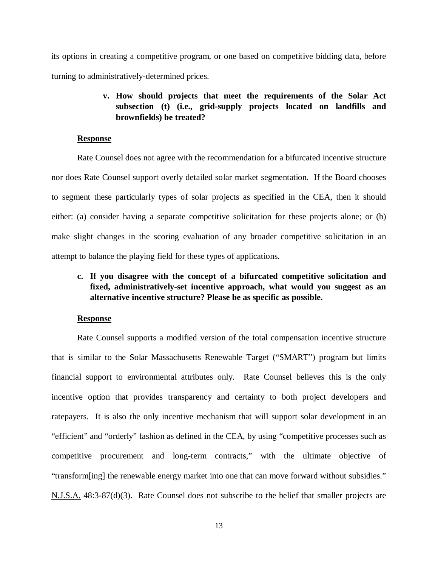its options in creating a competitive program, or one based on competitive bidding data, before turning to administratively-determined prices.

# **v. How should projects that meet the requirements of the Solar Act subsection (t) (i.e., grid-supply projects located on landfills and brownfields) be treated?**

#### **Response**

Rate Counsel does not agree with the recommendation for a bifurcated incentive structure nor does Rate Counsel support overly detailed solar market segmentation. If the Board chooses to segment these particularly types of solar projects as specified in the CEA, then it should either: (a) consider having a separate competitive solicitation for these projects alone; or (b) make slight changes in the scoring evaluation of any broader competitive solicitation in an attempt to balance the playing field for these types of applications.

# **c. If you disagree with the concept of a bifurcated competitive solicitation and fixed, administratively-set incentive approach, what would you suggest as an alternative incentive structure? Please be as specific as possible.**

#### **Response**

Rate Counsel supports a modified version of the total compensation incentive structure that is similar to the Solar Massachusetts Renewable Target ("SMART") program but limits financial support to environmental attributes only. Rate Counsel believes this is the only incentive option that provides transparency and certainty to both project developers and ratepayers. It is also the only incentive mechanism that will support solar development in an "efficient" and "orderly" fashion as defined in the CEA, by using "competitive processes such as competitive procurement and long-term contracts," with the ultimate objective of "transform[ing] the renewable energy market into one that can move forward without subsidies." N.J.S.A. 48:3-87(d)(3). Rate Counsel does not subscribe to the belief that smaller projects are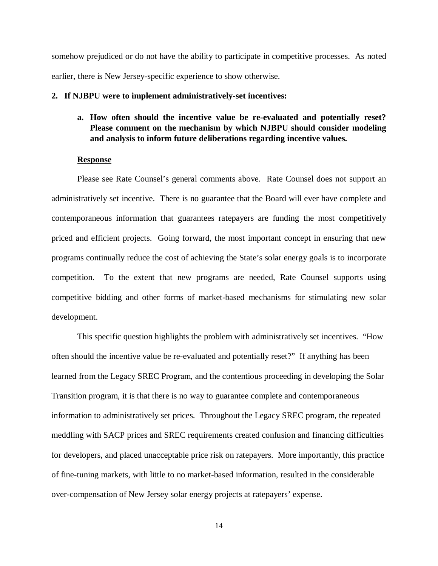somehow prejudiced or do not have the ability to participate in competitive processes. As noted earlier, there is New Jersey-specific experience to show otherwise.

#### **2. If NJBPU were to implement administratively-set incentives:**

**a. How often should the incentive value be re-evaluated and potentially reset? Please comment on the mechanism by which NJBPU should consider modeling and analysis to inform future deliberations regarding incentive values.**

### **Response**

Please see Rate Counsel's general comments above. Rate Counsel does not support an administratively set incentive. There is no guarantee that the Board will ever have complete and contemporaneous information that guarantees ratepayers are funding the most competitively priced and efficient projects. Going forward, the most important concept in ensuring that new programs continually reduce the cost of achieving the State's solar energy goals is to incorporate competition. To the extent that new programs are needed, Rate Counsel supports using competitive bidding and other forms of market-based mechanisms for stimulating new solar development.

This specific question highlights the problem with administratively set incentives. "How often should the incentive value be re-evaluated and potentially reset?" If anything has been learned from the Legacy SREC Program, and the contentious proceeding in developing the Solar Transition program, it is that there is no way to guarantee complete and contemporaneous information to administratively set prices. Throughout the Legacy SREC program, the repeated meddling with SACP prices and SREC requirements created confusion and financing difficulties for developers, and placed unacceptable price risk on ratepayers. More importantly, this practice of fine-tuning markets, with little to no market-based information, resulted in the considerable over-compensation of New Jersey solar energy projects at ratepayers' expense.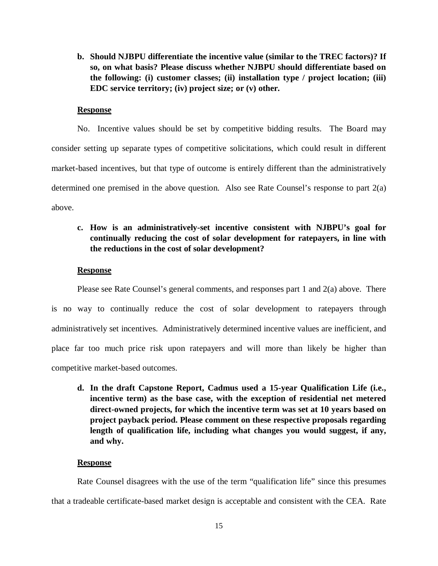**b. Should NJBPU differentiate the incentive value (similar to the TREC factors)? If so, on what basis? Please discuss whether NJBPU should differentiate based on the following: (i) customer classes; (ii) installation type / project location; (iii) EDC service territory; (iv) project size; or (v) other.** 

### **Response**

No. Incentive values should be set by competitive bidding results. The Board may consider setting up separate types of competitive solicitations, which could result in different market-based incentives, but that type of outcome is entirely different than the administratively determined one premised in the above question. Also see Rate Counsel's response to part  $2(a)$ above.

# **c. How is an administratively-set incentive consistent with NJBPU's goal for continually reducing the cost of solar development for ratepayers, in line with the reductions in the cost of solar development?**

#### **Response**

Please see Rate Counsel's general comments, and responses part 1 and 2(a) above. There is no way to continually reduce the cost of solar development to ratepayers through administratively set incentives. Administratively determined incentive values are inefficient, and place far too much price risk upon ratepayers and will more than likely be higher than competitive market-based outcomes.

**d. In the draft Capstone Report, Cadmus used a 15-year Qualification Life (i.e., incentive term) as the base case, with the exception of residential net metered direct-owned projects, for which the incentive term was set at 10 years based on project payback period. Please comment on these respective proposals regarding length of qualification life, including what changes you would suggest, if any, and why.**

#### **Response**

Rate Counsel disagrees with the use of the term "qualification life" since this presumes that a tradeable certificate-based market design is acceptable and consistent with the CEA. Rate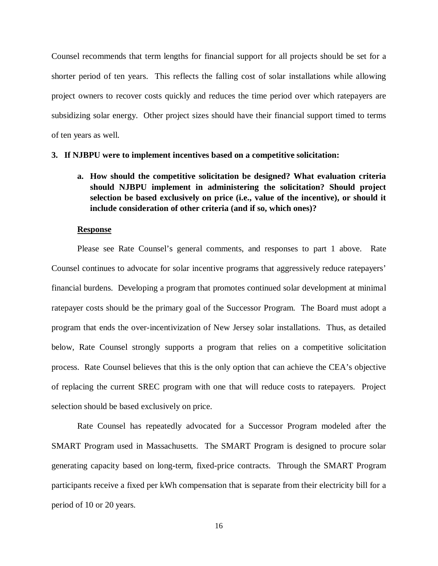Counsel recommends that term lengths for financial support for all projects should be set for a shorter period of ten years. This reflects the falling cost of solar installations while allowing project owners to recover costs quickly and reduces the time period over which ratepayers are subsidizing solar energy. Other project sizes should have their financial support timed to terms of ten years as well.

#### **3. If NJBPU were to implement incentives based on a competitive solicitation:**

**a. How should the competitive solicitation be designed? What evaluation criteria should NJBPU implement in administering the solicitation? Should project selection be based exclusively on price (i.e., value of the incentive), or should it include consideration of other criteria (and if so, which ones)?**

#### **Response**

Please see Rate Counsel's general comments, and responses to part 1 above. Rate Counsel continues to advocate for solar incentive programs that aggressively reduce ratepayers' financial burdens. Developing a program that promotes continued solar development at minimal ratepayer costs should be the primary goal of the Successor Program. The Board must adopt a program that ends the over-incentivization of New Jersey solar installations. Thus, as detailed below, Rate Counsel strongly supports a program that relies on a competitive solicitation process. Rate Counsel believes that this is the only option that can achieve the CEA's objective of replacing the current SREC program with one that will reduce costs to ratepayers. Project selection should be based exclusively on price.

Rate Counsel has repeatedly advocated for a Successor Program modeled after the SMART Program used in Massachusetts. The SMART Program is designed to procure solar generating capacity based on long-term, fixed-price contracts. Through the SMART Program participants receive a fixed per kWh compensation that is separate from their electricity bill for a period of 10 or 20 years.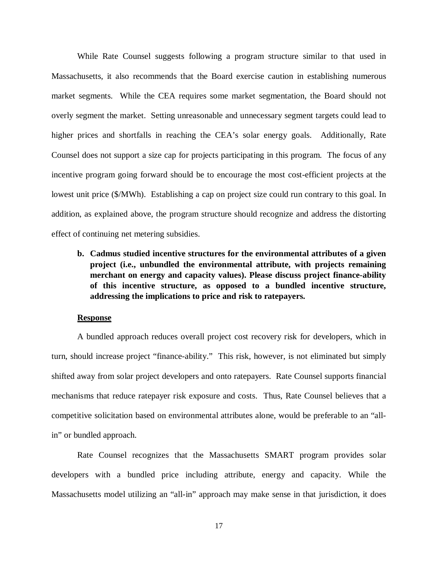While Rate Counsel suggests following a program structure similar to that used in Massachusetts, it also recommends that the Board exercise caution in establishing numerous market segments. While the CEA requires some market segmentation, the Board should not overly segment the market. Setting unreasonable and unnecessary segment targets could lead to higher prices and shortfalls in reaching the CEA's solar energy goals. Additionally, Rate Counsel does not support a size cap for projects participating in this program. The focus of any incentive program going forward should be to encourage the most cost-efficient projects at the lowest unit price (\$/MWh). Establishing a cap on project size could run contrary to this goal. In addition, as explained above, the program structure should recognize and address the distorting effect of continuing net metering subsidies.

**b. Cadmus studied incentive structures for the environmental attributes of a given project (i.e., unbundled the environmental attribute, with projects remaining merchant on energy and capacity values). Please discuss project finance-ability of this incentive structure, as opposed to a bundled incentive structure, addressing the implications to price and risk to ratepayers.** 

### **Response**

A bundled approach reduces overall project cost recovery risk for developers, which in turn, should increase project "finance-ability." This risk, however, is not eliminated but simply shifted away from solar project developers and onto ratepayers. Rate Counsel supports financial mechanisms that reduce ratepayer risk exposure and costs. Thus, Rate Counsel believes that a competitive solicitation based on environmental attributes alone, would be preferable to an "allin" or bundled approach.

Rate Counsel recognizes that the Massachusetts SMART program provides solar developers with a bundled price including attribute, energy and capacity. While the Massachusetts model utilizing an "all-in" approach may make sense in that jurisdiction, it does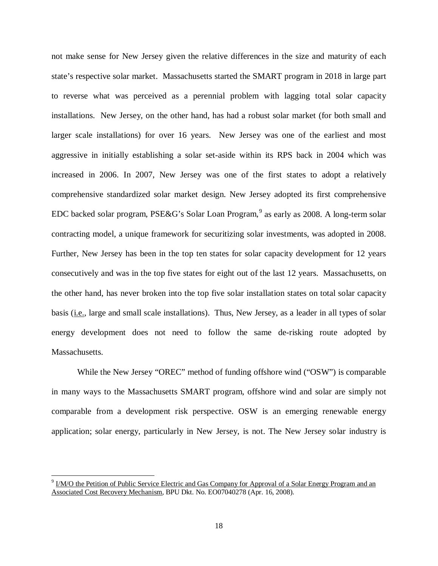not make sense for New Jersey given the relative differences in the size and maturity of each state's respective solar market. Massachusetts started the SMART program in 2018 in large part to reverse what was perceived as a perennial problem with lagging total solar capacity installations. New Jersey, on the other hand, has had a robust solar market (for both small and larger scale installations) for over 16 years. New Jersey was one of the earliest and most aggressive in initially establishing a solar set-aside within its RPS back in 2004 which was increased in 2006. In 2007, New Jersey was one of the first states to adopt a relatively comprehensive standardized solar market design. New Jersey adopted its first comprehensive EDC backed solar program, PSE&G's Solar Loan Program,<sup>[9](#page-20-0)</sup> as early as 2008. A long-term solar contracting model, a unique framework for securitizing solar investments, was adopted in 2008. Further, New Jersey has been in the top ten states for solar capacity development for 12 years consecutively and was in the top five states for eight out of the last 12 years. Massachusetts, on the other hand, has never broken into the top five solar installation states on total solar capacity basis (i.e., large and small scale installations). Thus, New Jersey, as a leader in all types of solar energy development does not need to follow the same de-risking route adopted by Massachusetts.

While the New Jersey "OREC" method of funding offshore wind ("OSW") is comparable in many ways to the Massachusetts SMART program, offshore wind and solar are simply not comparable from a development risk perspective. OSW is an emerging renewable energy application; solar energy, particularly in New Jersey, is not. The New Jersey solar industry is

<span id="page-20-0"></span><sup>&</sup>lt;sup>9</sup> I/M/O the Petition of Public Service Electric and Gas Company for Approval of a Solar Energy Program and an Associated Cost Recovery Mechanism, BPU Dkt. No. EO07040278 (Apr. 16, 2008).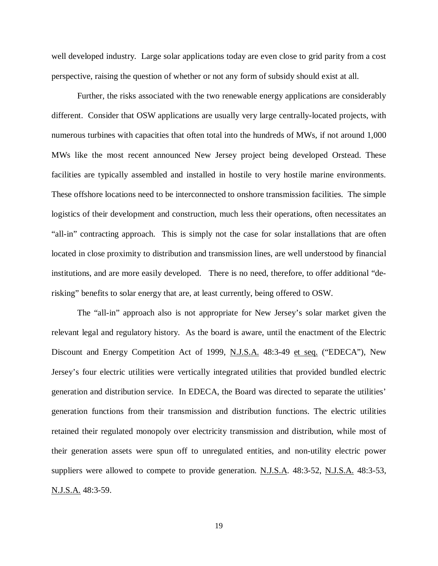well developed industry. Large solar applications today are even close to grid parity from a cost perspective, raising the question of whether or not any form of subsidy should exist at all.

Further, the risks associated with the two renewable energy applications are considerably different. Consider that OSW applications are usually very large centrally-located projects, with numerous turbines with capacities that often total into the hundreds of MWs, if not around 1,000 MWs like the most recent announced New Jersey project being developed Orstead. These facilities are typically assembled and installed in hostile to very hostile marine environments. These offshore locations need to be interconnected to onshore transmission facilities. The simple logistics of their development and construction, much less their operations, often necessitates an "all-in" contracting approach. This is simply not the case for solar installations that are often located in close proximity to distribution and transmission lines, are well understood by financial institutions, and are more easily developed. There is no need, therefore, to offer additional "derisking" benefits to solar energy that are, at least currently, being offered to OSW.

The "all-in" approach also is not appropriate for New Jersey's solar market given the relevant legal and regulatory history. As the board is aware, until the enactment of the Electric Discount and Energy Competition Act of 1999, N.J.S.A. 48:3-49 et seq. ("EDECA"), New Jersey's four electric utilities were vertically integrated utilities that provided bundled electric generation and distribution service. In EDECA, the Board was directed to separate the utilities' generation functions from their transmission and distribution functions. The electric utilities retained their regulated monopoly over electricity transmission and distribution, while most of their generation assets were spun off to unregulated entities, and non-utility electric power suppliers were allowed to compete to provide generation. N.J.S.A. 48:3-52, N.J.S.A. 48:3-53, N.J.S.A. 48:3-59.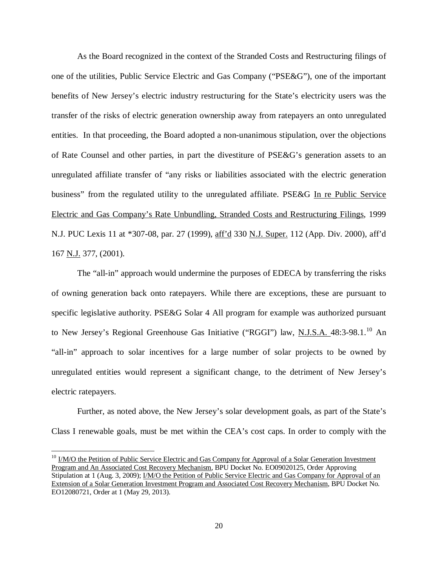As the Board recognized in the context of the Stranded Costs and Restructuring filings of one of the utilities, Public Service Electric and Gas Company ("PSE&G"), one of the important benefits of New Jersey's electric industry restructuring for the State's electricity users was the transfer of the risks of electric generation ownership away from ratepayers an onto unregulated entities. In that proceeding, the Board adopted a non-unanimous stipulation, over the objections of Rate Counsel and other parties, in part the divestiture of PSE&G's generation assets to an unregulated affiliate transfer of "any risks or liabilities associated with the electric generation business" from the regulated utility to the unregulated affiliate. PSE&G In re Public Service Electric and Gas Company's Rate Unbundling, Stranded Costs and Restructuring Filings, 1999 N.J. PUC Lexis 11 at \*307-08, par. 27 (1999), aff'd 330 N.J. Super. 112 (App. Div. 2000), aff'd 167 N.J. 377, (2001).

The "all-in" approach would undermine the purposes of EDECA by transferring the risks of owning generation back onto ratepayers. While there are exceptions, these are pursuant to specific legislative authority. PSE&G Solar 4 All program for example was authorized pursuant to New Jersey's Regional Greenhouse Gas Initiative ("RGGI") law, N.J.S.A. 48:3-98.1.<sup>[10](#page-22-0)</sup> An "all-in" approach to solar incentives for a large number of solar projects to be owned by unregulated entities would represent a significant change, to the detriment of New Jersey's electric ratepayers.

Further, as noted above, the New Jersey's solar development goals, as part of the State's Class I renewable goals, must be met within the CEA's cost caps. In order to comply with the

<span id="page-22-0"></span><sup>&</sup>lt;sup>10</sup> I/M/O the Petition of Public Service Electric and Gas Company for Approval of a Solar Generation Investment Program and An Associated Cost Recovery Mechanism, BPU Docket No. EO09020125, Order Approving Stipulation at 1 (Aug. 3, 2009); *I/M/O the Petition of Public Service Electric and Gas Company for Approval of an* Extension of a Solar Generation Investment Program and Associated Cost Recovery Mechanism, BPU Docket No. EO12080721, Order at 1 (May 29, 2013).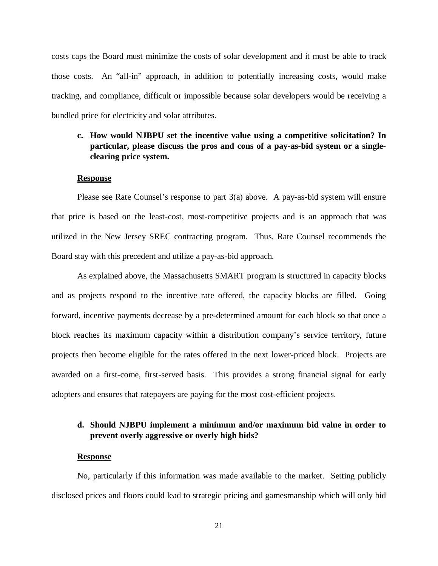costs caps the Board must minimize the costs of solar development and it must be able to track those costs. An "all-in" approach, in addition to potentially increasing costs, would make tracking, and compliance, difficult or impossible because solar developers would be receiving a bundled price for electricity and solar attributes.

# **c. How would NJBPU set the incentive value using a competitive solicitation? In particular, please discuss the pros and cons of a pay-as-bid system or a singleclearing price system.**

#### **Response**

Please see Rate Counsel's response to part  $3(a)$  above. A pay-as-bid system will ensure that price is based on the least-cost, most-competitive projects and is an approach that was utilized in the New Jersey SREC contracting program. Thus, Rate Counsel recommends the Board stay with this precedent and utilize a pay-as-bid approach.

As explained above, the Massachusetts SMART program is structured in capacity blocks and as projects respond to the incentive rate offered, the capacity blocks are filled. Going forward, incentive payments decrease by a pre-determined amount for each block so that once a block reaches its maximum capacity within a distribution company's service territory, future projects then become eligible for the rates offered in the next lower-priced block. Projects are awarded on a first-come, first-served basis. This provides a strong financial signal for early adopters and ensures that ratepayers are paying for the most cost-efficient projects.

# **d. Should NJBPU implement a minimum and/or maximum bid value in order to prevent overly aggressive or overly high bids?**

#### **Response**

No, particularly if this information was made available to the market. Setting publicly disclosed prices and floors could lead to strategic pricing and gamesmanship which will only bid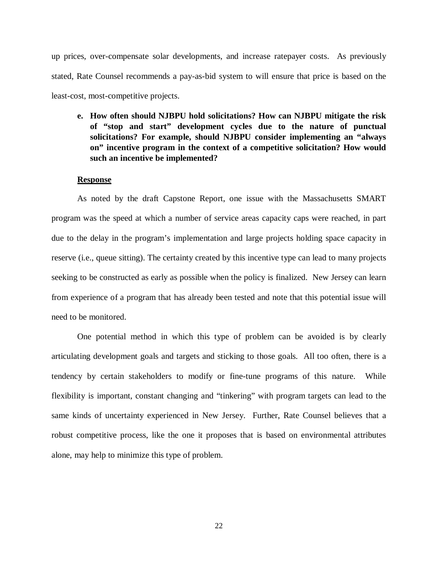up prices, over-compensate solar developments, and increase ratepayer costs. As previously stated, Rate Counsel recommends a pay-as-bid system to will ensure that price is based on the least-cost, most-competitive projects.

**e. How often should NJBPU hold solicitations? How can NJBPU mitigate the risk of "stop and start" development cycles due to the nature of punctual solicitations? For example, should NJBPU consider implementing an "always on" incentive program in the context of a competitive solicitation? How would such an incentive be implemented?**

#### **Response**

As noted by the draft Capstone Report, one issue with the Massachusetts SMART program was the speed at which a number of service areas capacity caps were reached, in part due to the delay in the program's implementation and large projects holding space capacity in reserve (i.e., queue sitting). The certainty created by this incentive type can lead to many projects seeking to be constructed as early as possible when the policy is finalized. New Jersey can learn from experience of a program that has already been tested and note that this potential issue will need to be monitored.

One potential method in which this type of problem can be avoided is by clearly articulating development goals and targets and sticking to those goals. All too often, there is a tendency by certain stakeholders to modify or fine-tune programs of this nature. While flexibility is important, constant changing and "tinkering" with program targets can lead to the same kinds of uncertainty experienced in New Jersey. Further, Rate Counsel believes that a robust competitive process, like the one it proposes that is based on environmental attributes alone, may help to minimize this type of problem.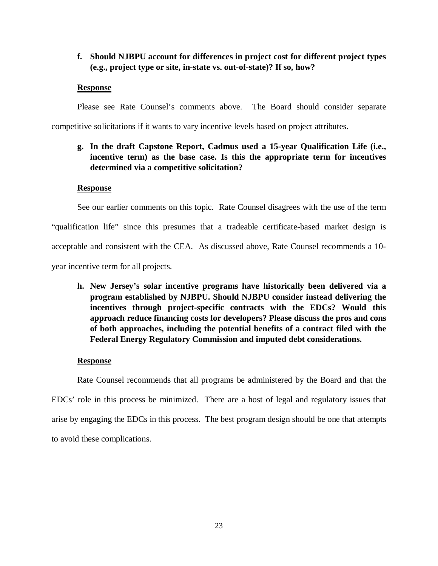# **f. Should NJBPU account for differences in project cost for different project types (e.g., project type or site, in-state vs. out-of-state)? If so, how?**

### **Response**

Please see Rate Counsel's comments above. The Board should consider separate

competitive solicitations if it wants to vary incentive levels based on project attributes.

# **g. In the draft Capstone Report, Cadmus used a 15-year Qualification Life (i.e., incentive term) as the base case. Is this the appropriate term for incentives determined via a competitive solicitation?**

## **Response**

See our earlier comments on this topic. Rate Counsel disagrees with the use of the term "qualification life" since this presumes that a tradeable certificate-based market design is acceptable and consistent with the CEA. As discussed above, Rate Counsel recommends a 10 year incentive term for all projects.

**h. New Jersey's solar incentive programs have historically been delivered via a program established by NJBPU. Should NJBPU consider instead delivering the incentives through project-specific contracts with the EDCs? Would this approach reduce financing costs for developers? Please discuss the pros and cons of both approaches, including the potential benefits of a contract filed with the Federal Energy Regulatory Commission and imputed debt considerations.**

## **Response**

Rate Counsel recommends that all programs be administered by the Board and that the EDCs' role in this process be minimized. There are a host of legal and regulatory issues that arise by engaging the EDCs in this process. The best program design should be one that attempts to avoid these complications.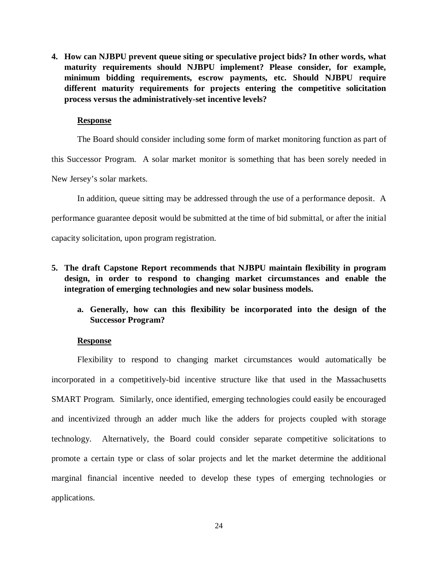**4. How can NJBPU prevent queue siting or speculative project bids? In other words, what maturity requirements should NJBPU implement? Please consider, for example, minimum bidding requirements, escrow payments, etc. Should NJBPU require different maturity requirements for projects entering the competitive solicitation process versus the administratively-set incentive levels?**

#### **Response**

The Board should consider including some form of market monitoring function as part of this Successor Program. A solar market monitor is something that has been sorely needed in New Jersey's solar markets.

In addition, queue sitting may be addressed through the use of a performance deposit. A performance guarantee deposit would be submitted at the time of bid submittal, or after the initial capacity solicitation, upon program registration.

- **5. The draft Capstone Report recommends that NJBPU maintain flexibility in program design, in order to respond to changing market circumstances and enable the integration of emerging technologies and new solar business models.** 
	- **a. Generally, how can this flexibility be incorporated into the design of the Successor Program?**

### **Response**

Flexibility to respond to changing market circumstances would automatically be incorporated in a competitively-bid incentive structure like that used in the Massachusetts SMART Program. Similarly, once identified, emerging technologies could easily be encouraged and incentivized through an adder much like the adders for projects coupled with storage technology. Alternatively, the Board could consider separate competitive solicitations to promote a certain type or class of solar projects and let the market determine the additional marginal financial incentive needed to develop these types of emerging technologies or applications.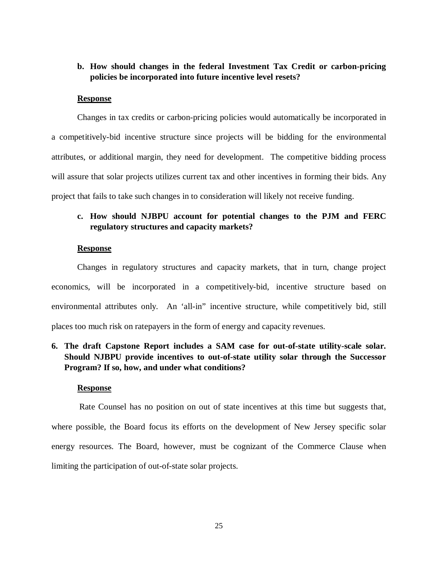## **b. How should changes in the federal Investment Tax Credit or carbon-pricing policies be incorporated into future incentive level resets?**

### **Response**

Changes in tax credits or carbon-pricing policies would automatically be incorporated in a competitively-bid incentive structure since projects will be bidding for the environmental attributes, or additional margin, they need for development. The competitive bidding process will assure that solar projects utilizes current tax and other incentives in forming their bids. Any project that fails to take such changes in to consideration will likely not receive funding.

# **c. How should NJBPU account for potential changes to the PJM and FERC regulatory structures and capacity markets?**

#### **Response**

Changes in regulatory structures and capacity markets, that in turn, change project economics, will be incorporated in a competitively-bid, incentive structure based on environmental attributes only. An 'all-in" incentive structure, while competitively bid, still places too much risk on ratepayers in the form of energy and capacity revenues.

# **6. The draft Capstone Report includes a SAM case for out-of-state utility-scale solar. Should NJBPU provide incentives to out-of-state utility solar through the Successor Program? If so, how, and under what conditions?**

#### **Response**

Rate Counsel has no position on out of state incentives at this time but suggests that, where possible, the Board focus its efforts on the development of New Jersey specific solar energy resources. The Board, however, must be cognizant of the Commerce Clause when limiting the participation of out-of-state solar projects.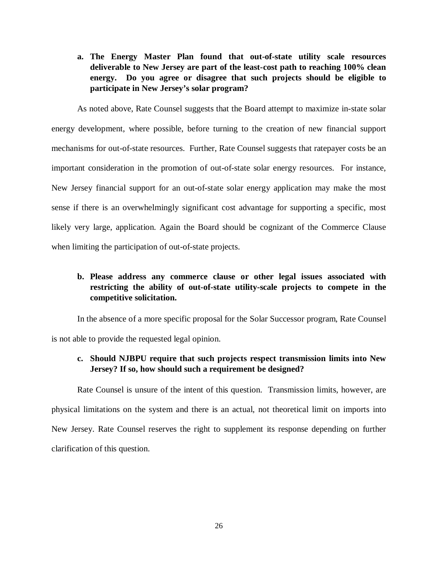**a. The Energy Master Plan found that out-of-state utility scale resources deliverable to New Jersey are part of the least-cost path to reaching 100% clean energy. Do you agree or disagree that such projects should be eligible to participate in New Jersey's solar program?**

As noted above, Rate Counsel suggests that the Board attempt to maximize in-state solar energy development, where possible, before turning to the creation of new financial support mechanisms for out-of-state resources. Further, Rate Counsel suggests that ratepayer costs be an important consideration in the promotion of out-of-state solar energy resources. For instance, New Jersey financial support for an out-of-state solar energy application may make the most sense if there is an overwhelmingly significant cost advantage for supporting a specific, most likely very large, application. Again the Board should be cognizant of the Commerce Clause when limiting the participation of out-of-state projects.

# **b. Please address any commerce clause or other legal issues associated with restricting the ability of out-of-state utility-scale projects to compete in the competitive solicitation.**

In the absence of a more specific proposal for the Solar Successor program, Rate Counsel is not able to provide the requested legal opinion.

# **c. Should NJBPU require that such projects respect transmission limits into New Jersey? If so, how should such a requirement be designed?**

Rate Counsel is unsure of the intent of this question. Transmission limits, however, are physical limitations on the system and there is an actual, not theoretical limit on imports into New Jersey. Rate Counsel reserves the right to supplement its response depending on further clarification of this question.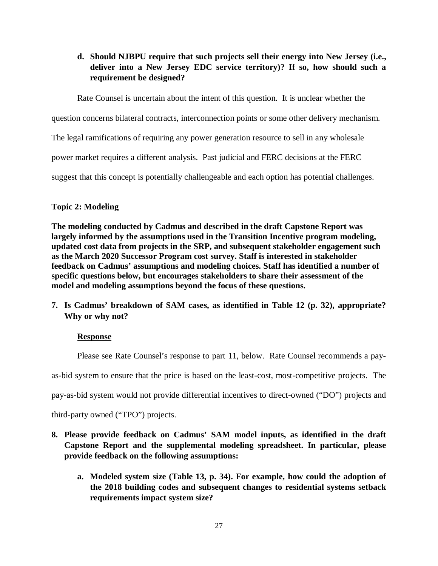**d. Should NJBPU require that such projects sell their energy into New Jersey (i.e., deliver into a New Jersey EDC service territory)? If so, how should such a requirement be designed?**

Rate Counsel is uncertain about the intent of this question. It is unclear whether the

question concerns bilateral contracts, interconnection points or some other delivery mechanism.

The legal ramifications of requiring any power generation resource to sell in any wholesale

power market requires a different analysis. Past judicial and FERC decisions at the FERC

suggest that this concept is potentially challengeable and each option has potential challenges.

## **Topic 2: Modeling**

**The modeling conducted by Cadmus and described in the draft Capstone Report was largely informed by the assumptions used in the Transition Incentive program modeling, updated cost data from projects in the SRP, and subsequent stakeholder engagement such as the March 2020 Successor Program cost survey. Staff is interested in stakeholder feedback on Cadmus' assumptions and modeling choices. Staff has identified a number of specific questions below, but encourages stakeholders to share their assessment of the model and modeling assumptions beyond the focus of these questions.**

**7. Is Cadmus' breakdown of SAM cases, as identified in Table 12 (p. 32), appropriate? Why or why not?**

# **Response**

Please see Rate Counsel's response to part 11, below. Rate Counsel recommends a pay-

as-bid system to ensure that the price is based on the least-cost, most-competitive projects. The

pay-as-bid system would not provide differential incentives to direct-owned ("DO") projects and

third-party owned ("TPO") projects.

- **8. Please provide feedback on Cadmus' SAM model inputs, as identified in the draft Capstone Report and the supplemental modeling spreadsheet. In particular, please provide feedback on the following assumptions:**
	- **a. Modeled system size (Table 13, p. 34). For example, how could the adoption of the 2018 building codes and subsequent changes to residential systems setback requirements impact system size?**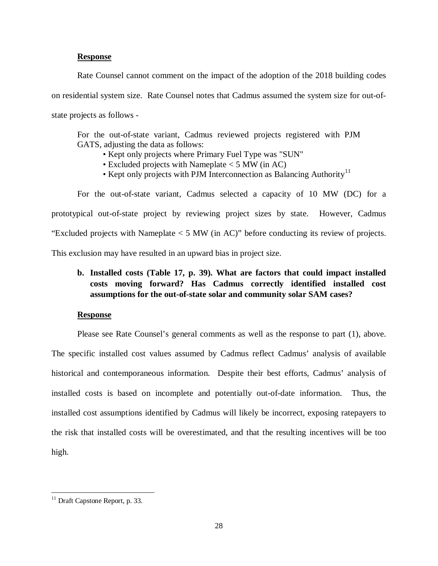#### **Response**

Rate Counsel cannot comment on the impact of the adoption of the 2018 building codes on residential system size. Rate Counsel notes that Cadmus assumed the system size for out-ofstate projects as follows -

For the out-of-state variant, Cadmus reviewed projects registered with PJM GATS, adjusting the data as follows:

- Kept only projects where Primary Fuel Type was "SUN"
- Excluded projects with Nameplate < 5 MW (in AC)
- Kept only projects with PJM Interconnection as Balancing Authority<sup>[11](#page-30-0)</sup>

For the out-of-state variant, Cadmus selected a capacity of 10 MW (DC) for a prototypical out-of-state project by reviewing project sizes by state. However, Cadmus "Excluded projects with Nameplate < 5 MW (in AC)" before conducting its review of projects. This exclusion may have resulted in an upward bias in project size.

# **b. Installed costs (Table 17, p. 39). What are factors that could impact installed costs moving forward? Has Cadmus correctly identified installed cost assumptions for the out-of-state solar and community solar SAM cases?**

### **Response**

Please see Rate Counsel's general comments as well as the response to part (1), above. The specific installed cost values assumed by Cadmus reflect Cadmus' analysis of available historical and contemporaneous information. Despite their best efforts, Cadmus' analysis of installed costs is based on incomplete and potentially out-of-date information. Thus, the installed cost assumptions identified by Cadmus will likely be incorrect, exposing ratepayers to the risk that installed costs will be overestimated, and that the resulting incentives will be too high.

<span id="page-30-0"></span><sup>&</sup>lt;sup>11</sup> Draft Capstone Report, p. 33.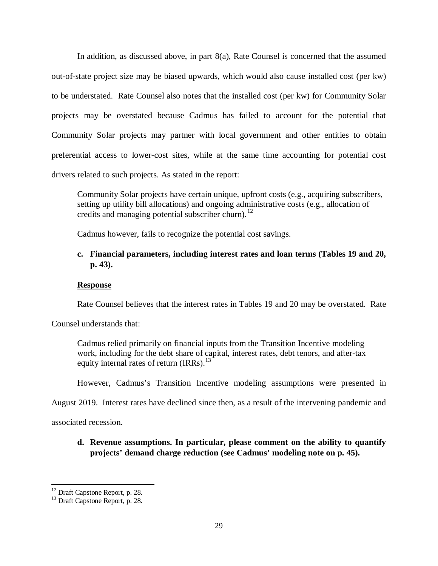In addition, as discussed above, in part  $8(a)$ , Rate Counsel is concerned that the assumed out-of-state project size may be biased upwards, which would also cause installed cost (per kw) to be understated. Rate Counsel also notes that the installed cost (per kw) for Community Solar projects may be overstated because Cadmus has failed to account for the potential that Community Solar projects may partner with local government and other entities to obtain preferential access to lower-cost sites, while at the same time accounting for potential cost drivers related to such projects. As stated in the report:

Community Solar projects have certain unique, upfront costs (e.g., acquiring subscribers, setting up utility bill allocations) and ongoing administrative costs (e.g., allocation of credits and managing potential subscriber churn).<sup>[12](#page-31-0)</sup>

Cadmus however, fails to recognize the potential cost savings.

# **c. Financial parameters, including interest rates and loan terms (Tables 19 and 20, p. 43).**

### **Response**

Rate Counsel believes that the interest rates in Tables 19 and 20 may be overstated. Rate

Counsel understands that:

Cadmus relied primarily on financial inputs from the Transition Incentive modeling work, including for the debt share of capital, interest rates, debt tenors, and after-tax equity internal rates of return  $\text{IRRs)}$ .<sup>[13](#page-31-1)</sup>

However, Cadmus's Transition Incentive modeling assumptions were presented in

August 2019. Interest rates have declined since then, as a result of the intervening pandemic and

associated recession.

# **d. Revenue assumptions. In particular, please comment on the ability to quantify projects' demand charge reduction (see Cadmus' modeling note on p. 45).**

<span id="page-31-0"></span><sup>&</sup>lt;sup>12</sup> Draft Capstone Report, p. 28.<br><sup>13</sup> Draft Capstone Report, p. 28.

<span id="page-31-1"></span>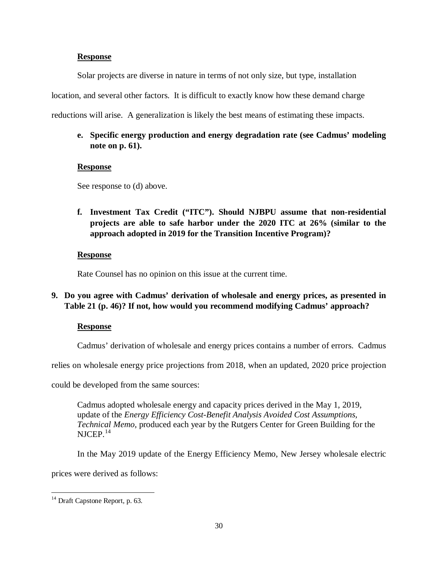## **Response**

Solar projects are diverse in nature in terms of not only size, but type, installation

location, and several other factors. It is difficult to exactly know how these demand charge

reductions will arise. A generalization is likely the best means of estimating these impacts.

# **e. Specific energy production and energy degradation rate (see Cadmus' modeling note on p. 61).**

## **Response**

See response to (d) above.

**f. Investment Tax Credit ("ITC"). Should NJBPU assume that non-residential projects are able to safe harbor under the 2020 ITC at 26% (similar to the approach adopted in 2019 for the Transition Incentive Program)?**

## **Response**

Rate Counsel has no opinion on this issue at the current time.

# **9. Do you agree with Cadmus' derivation of wholesale and energy prices, as presented in Table 21 (p. 46)? If not, how would you recommend modifying Cadmus' approach?**

## **Response**

Cadmus' derivation of wholesale and energy prices contains a number of errors. Cadmus

relies on wholesale energy price projections from 2018, when an updated, 2020 price projection

could be developed from the same sources:

Cadmus adopted wholesale energy and capacity prices derived in the May 1, 2019, update of the *Energy Efficiency Cost-Benefit Analysis Avoided Cost Assumptions, Technical Memo*, produced each year by the Rutgers Center for Green Building for the  $NJCEP.<sup>14</sup>$  $NJCEP.<sup>14</sup>$  $NJCEP.<sup>14</sup>$ 

In the May 2019 update of the Energy Efficiency Memo, New Jersey wholesale electric

prices were derived as follows:

<span id="page-32-0"></span><sup>&</sup>lt;sup>14</sup> Draft Capstone Report, p. 63.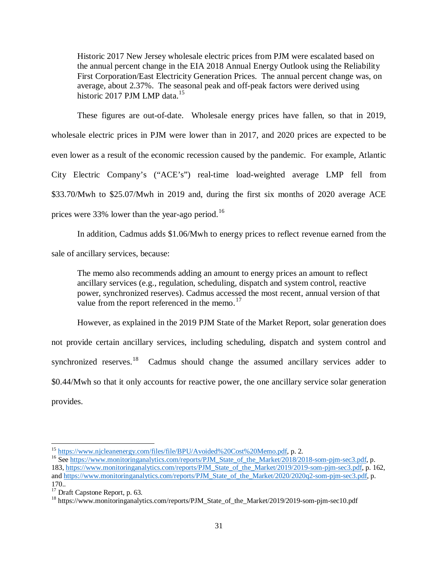Historic 2017 New Jersey wholesale electric prices from PJM were escalated based on the annual percent change in the EIA 2018 Annual Energy Outlook using the Reliability First Corporation/East Electricity Generation Prices. The annual percent change was, on average, about 2.37%. The seasonal peak and off-peak factors were derived using historic 2017 PJM LMP data.<sup>[15](#page-33-0)</sup>

These figures are out-of-date. Wholesale energy prices have fallen, so that in 2019, wholesale electric prices in PJM were lower than in 2017, and 2020 prices are expected to be even lower as a result of the economic recession caused by the pandemic. For example, Atlantic City Electric Company's ("ACE's") real-time load-weighted average LMP fell from \$33.70/Mwh to \$25.07/Mwh in 2019 and, during the first six months of 2020 average ACE prices were 33% lower than the year-ago period.<sup>[16](#page-33-1)</sup>

In addition, Cadmus adds \$1.06/Mwh to energy prices to reflect revenue earned from the

sale of ancillary services, because:

The memo also recommends adding an amount to energy prices an amount to reflect ancillary services (e.g., regulation, scheduling, dispatch and system control, reactive power, synchronized reserves). Cadmus accessed the most recent, annual version of that value from the report referenced in the memo.<sup>[17](#page-33-2)</sup>

However, as explained in the 2019 PJM State of the Market Report, solar generation does not provide certain ancillary services, including scheduling, dispatch and system control and synchronized reserves.<sup>18</sup> Cadmus should change the assumed ancillary services adder to \$0.44/Mwh so that it only accounts for reactive power, the one ancillary service solar generation provides.

<span id="page-33-1"></span><span id="page-33-0"></span><sup>&</sup>lt;sup>15</sup> [https://www.njcleanenergy.com/files/file/BPU/Avoided%20Cost%20Memo.pdf,](https://www.njcleanenergy.com/files/file/BPU/Avoided%20Cost%20Memo.pdf) p. 2.<br><sup>16</sup> See [https://www.monitoringanalytics.com/reports/PJM\\_State\\_of\\_the\\_Market/2018/2018-som-pjm-sec3.pdf,](https://www.monitoringanalytics.com/reports/PJM_State_of_the_Market/2018/2018-som-pjm-sec3.pdf) p. 183, [https://www.monitoringanalytics.com/reports/PJM\\_State\\_of\\_the\\_Market/2019/2019-som-pjm-sec3.pdf,](https://www.monitoringanalytics.com/reports/PJM_State_of_the_Market/2019/2019-som-pjm-sec3.pdf) p. 162, and [https://www.monitoringanalytics.com/reports/PJM\\_State\\_of\\_the\\_Market/2020/2020q2-som-pjm-sec3.pdf,](https://www.monitoringanalytics.com/reports/PJM_State_of_the_Market/2020/2020q2-som-pjm-sec3.pdf) p.

<sup>170..&</sup>lt;br><sup>17</sup> Draft Capstone Report, p. 63.

<span id="page-33-3"></span><span id="page-33-2"></span><sup>&</sup>lt;sup>18</sup> https://www.monitoringanalytics.com/reports/PJM\_State\_of\_the\_Market/2019/2019-som-pjm-sec10.pdf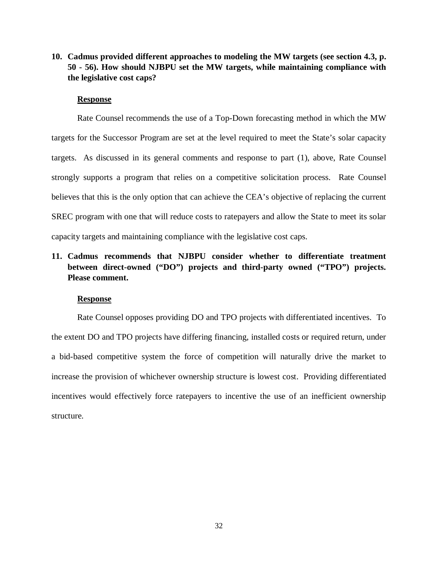# **10. Cadmus provided different approaches to modeling the MW targets (see section 4.3, p. 50 - 56). How should NJBPU set the MW targets, while maintaining compliance with the legislative cost caps?**

### **Response**

Rate Counsel recommends the use of a Top-Down forecasting method in which the MW targets for the Successor Program are set at the level required to meet the State's solar capacity targets. As discussed in its general comments and response to part (1), above, Rate Counsel strongly supports a program that relies on a competitive solicitation process. Rate Counsel believes that this is the only option that can achieve the CEA's objective of replacing the current SREC program with one that will reduce costs to ratepayers and allow the State to meet its solar capacity targets and maintaining compliance with the legislative cost caps.

# **11. Cadmus recommends that NJBPU consider whether to differentiate treatment between direct-owned ("DO") projects and third-party owned ("TPO") projects. Please comment.**

#### **Response**

Rate Counsel opposes providing DO and TPO projects with differentiated incentives. To the extent DO and TPO projects have differing financing, installed costs or required return, under a bid-based competitive system the force of competition will naturally drive the market to increase the provision of whichever ownership structure is lowest cost. Providing differentiated incentives would effectively force ratepayers to incentive the use of an inefficient ownership structure.